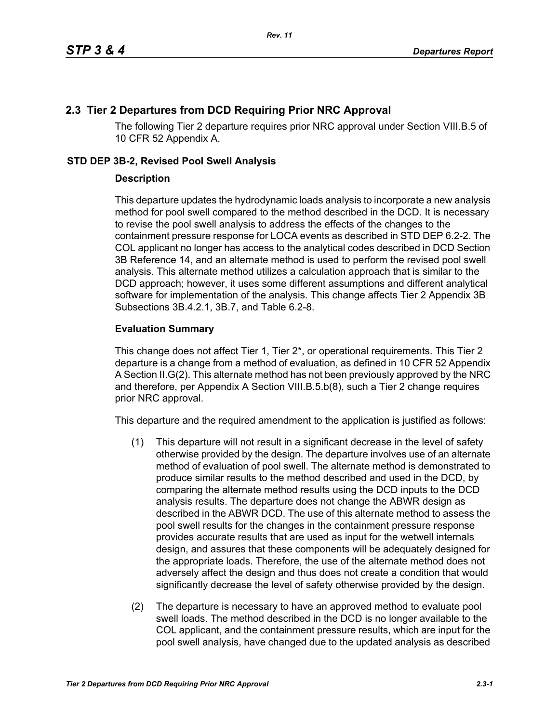## **2.3 Tier 2 Departures from DCD Requiring Prior NRC Approval**

The following Tier 2 departure requires prior NRC approval under Section VIII.B.5 of 10 CFR 52 Appendix A.

## **STD DEP 3B-2, Revised Pool Swell Analysis**

## **Description**

This departure updates the hydrodynamic loads analysis to incorporate a new analysis method for pool swell compared to the method described in the DCD. It is necessary to revise the pool swell analysis to address the effects of the changes to the containment pressure response for LOCA events as described in STD DEP 6.2-2. The COL applicant no longer has access to the analytical codes described in DCD Section 3B Reference 14, and an alternate method is used to perform the revised pool swell analysis. This alternate method utilizes a calculation approach that is similar to the DCD approach; however, it uses some different assumptions and different analytical software for implementation of the analysis. This change affects Tier 2 Appendix 3B Subsections 3B.4.2.1, 3B.7, and Table 6.2-8.

## **Evaluation Summary**

This change does not affect Tier 1, Tier 2\*, or operational requirements. This Tier 2 departure is a change from a method of evaluation, as defined in 10 CFR 52 Appendix A Section II.G(2). This alternate method has not been previously approved by the NRC and therefore, per Appendix A Section VIII.B.5.b(8), such a Tier 2 change requires prior NRC approval.

This departure and the required amendment to the application is justified as follows:

- (1) This departure will not result in a significant decrease in the level of safety otherwise provided by the design. The departure involves use of an alternate method of evaluation of pool swell. The alternate method is demonstrated to produce similar results to the method described and used in the DCD, by comparing the alternate method results using the DCD inputs to the DCD analysis results. The departure does not change the ABWR design as described in the ABWR DCD. The use of this alternate method to assess the pool swell results for the changes in the containment pressure response provides accurate results that are used as input for the wetwell internals design, and assures that these components will be adequately designed for the appropriate loads. Therefore, the use of the alternate method does not adversely affect the design and thus does not create a condition that would significantly decrease the level of safety otherwise provided by the design.
- (2) The departure is necessary to have an approved method to evaluate pool swell loads. The method described in the DCD is no longer available to the COL applicant, and the containment pressure results, which are input for the pool swell analysis, have changed due to the updated analysis as described